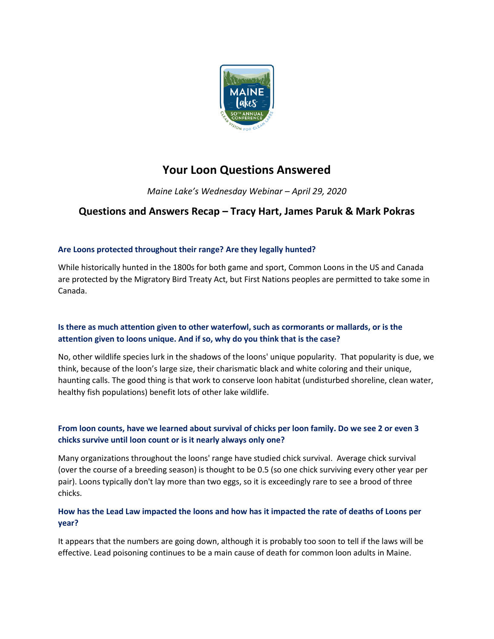

# **Your Loon Questions Answered**

*Maine Lake's Wednesday Webinar – April 29, 2020*

## **Questions and Answers Recap – Tracy Hart, James Paruk & Mark Pokras**

### **Are Loons protected throughout their range? Are they legally hunted?**

While historically hunted in the 1800s for both game and sport, Common Loons in the US and Canada are protected by the Migratory Bird Treaty Act, but First Nations peoples are permitted to take some in Canada.

### **Is there as much attention given to other waterfowl, such as cormorants or mallards, or is the attention given to loons unique. And if so, why do you think that is the case?**

No, other wildlife species lurk in the shadows of the loons' unique popularity. That popularity is due, we think, because of the loon's large size, their charismatic black and white coloring and their unique, haunting calls. The good thing is that work to conserve loon habitat (undisturbed shoreline, clean water, healthy fish populations) benefit lots of other lake wildlife.

### **From loon counts, have we learned about survival of chicks per loon family. Do we see 2 or even 3 chicks survive until loon count or is it nearly always only one?**

Many organizations throughout the loons' range have studied chick survival. Average chick survival (over the course of a breeding season) is thought to be 0.5 (so one chick surviving every other year per pair). Loons typically don't lay more than two eggs, so it is exceedingly rare to see a brood of three chicks.

### **How has the Lead Law impacted the loons and how has it impacted the rate of deaths of Loons per year?**

It appears that the numbers are going down, although it is probably too soon to tell if the laws will be effective. Lead poisoning continues to be a main cause of death for common loon adults in Maine.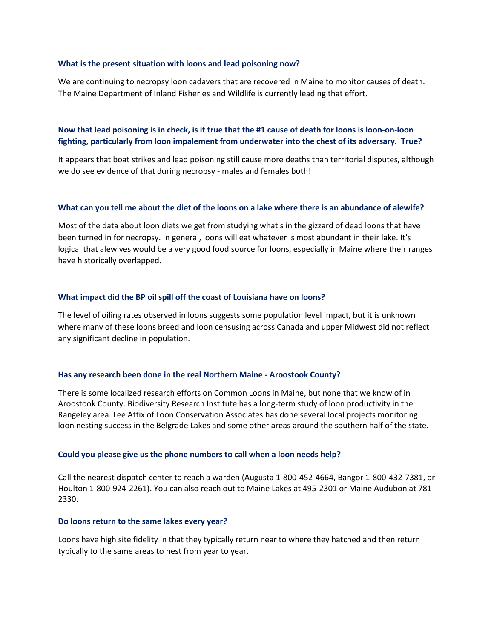#### **What is the present situation with loons and lead poisoning now?**

We are continuing to necropsy loon cadavers that are recovered in Maine to monitor causes of death. The Maine Department of Inland Fisheries and Wildlife is currently leading that effort.

### **Now that lead poisoning is in check, is it true that the #1 cause of death for loons is loon-on-loon fighting, particularly from loon impalement from underwater into the chest of its adversary. True?**

It appears that boat strikes and lead poisoning still cause more deaths than territorial disputes, although we do see evidence of that during necropsy - males and females both!

### **What can you tell me about the diet of the loons on a lake where there is an abundance of alewife?**

Most of the data about loon diets we get from studying what's in the gizzard of dead loons that have been turned in for necropsy. In general, loons will eat whatever is most abundant in their lake. It's logical that alewives would be a very good food source for loons, especially in Maine where their ranges have historically overlapped.

### **What impact did the BP oil spill off the coast of Louisiana have on loons?**

The level of oiling rates observed in loons suggests some population level impact, but it is unknown where many of these loons breed and loon censusing across Canada and upper Midwest did not reflect any significant decline in population.

#### **Has any research been done in the real Northern Maine - Aroostook County?**

There is some localized research efforts on Common Loons in Maine, but none that we know of in Aroostook County. Biodiversity Research Institute has a long-term study of loon productivity in the Rangeley area. Lee Attix of Loon Conservation Associates has done several local projects monitoring loon nesting success in the Belgrade Lakes and some other areas around the southern half of the state.

#### **Could you please give us the phone numbers to call when a loon needs help?**

Call the nearest dispatch center to reach a warden (Augusta 1-800-452-4664, Bangor 1-800-432-7381, or Houlton 1-800-924-2261). You can also reach out to Maine Lakes at 495-2301 or Maine Audubon at 781- 2330.

#### **Do loons return to the same lakes every year?**

Loons have high site fidelity in that they typically return near to where they hatched and then return typically to the same areas to nest from year to year.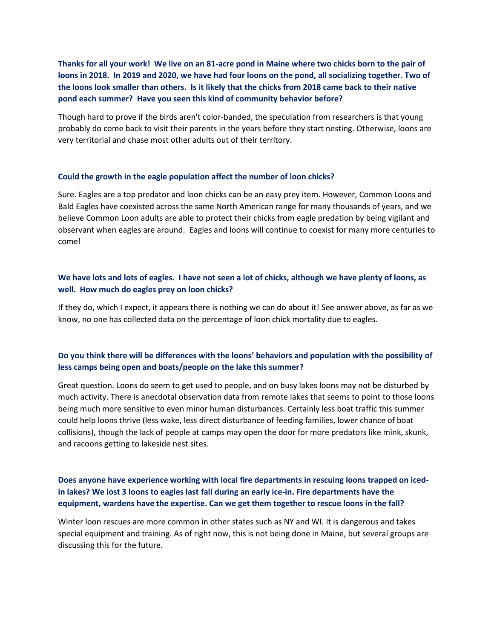**Thanks for all your work! We live on an 81-acre pond in Maine where two chicks born to the pair of loons in 2018. In 2019 and 2020, we have had four loons on the pond, all socializing together. Two of the loons look smaller than others. Is it likely that the chicks from 2018 came back to their native pond each summer? Have you seen this kind of community behavior before?**

Though hard to prove if the birds aren't color-banded, the speculation from researchers is that young probably do come back to visit their parents in the years before they start nesting. Otherwise, loons are very territorial and chase most other adults out of their territory.

### **Could the growth in the eagle population affect the number of loon chicks?**

Sure. Eagles are a top predator and loon chicks can be an easy prey item. However, Common Loons and Bald Eagles have coexisted across the same North American range for many thousands of years, and we believe Common Loon adults are able to protect their chicks from eagle predation by being vigilant and observant when eagles are around. Eagles and loons will continue to coexist for many more centuries to come!

### **We have lots and lots of eagles. I have not seen a lot of chicks, although we have plenty of loons, as well. How much do eagles prey on loon chicks?**

If they do, which I expect, it appears there is nothing we can do about it! See answer above, as far as we know, no one has collected data on the percentage of loon chick mortality due to eagles.

### **Do you think there will be differences with the loons' behaviors and population with the possibility of less camps being open and boats/people on the lake this summer?**

Great question. Loons do seem to get used to people, and on busy lakes loons may not be disturbed by much activity. There is anecdotal observation data from remote lakes that seems to point to those loons being much more sensitive to even minor human disturbances. Certainly less boat traffic this summer could help loons thrive (less wake, less direct disturbance of feeding families, lower chance of boat collisions), though the lack of people at camps may open the door for more predators like mink, skunk, and racoons getting to lakeside nest sites.

### **Does anyone have experience working with local fire departments in rescuing loons trapped on icedin lakes? We lost 3 loons to eagles last fall during an early ice-in. Fire departments have the equipment, wardens have the expertise. Can we get them together to rescue loons in the fall?**

Winter loon rescues are more common in other states such as NY and WI. It is dangerous and takes special equipment and training. As of right now, this is not being done in Maine, but several groups are discussing this for the future.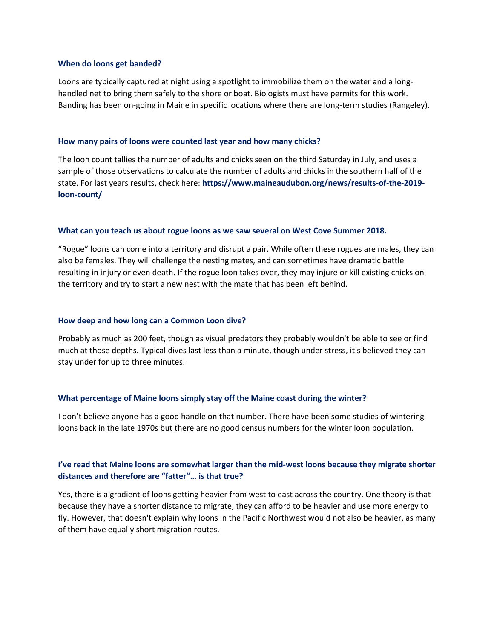#### **When do loons get banded?**

Loons are typically captured at night using a spotlight to immobilize them on the water and a longhandled net to bring them safely to the shore or boat. Biologists must have permits for this work. Banding has been on-going in Maine in specific locations where there are long-term studies (Rangeley).

### **How many pairs of loons were counted last year and how many chicks?**

The loon count tallies the number of adults and chicks seen on the third Saturday in July, and uses a sample of those observations to calculate the number of adults and chicks in the southern half of the state. For last years results, check here: **[https://www.maineaudubon.org/news/results-of-the-2019](https://www.maineaudubon.org/news/results-of-the-2019-loon-count/) [loon-count/](https://www.maineaudubon.org/news/results-of-the-2019-loon-count/)**

### **What can you teach us about rogue loons as we saw several on West Cove Summer 2018.**

"Rogue" loons can come into a territory and disrupt a pair. While often these rogues are males, they can also be females. They will challenge the nesting mates, and can sometimes have dramatic battle resulting in injury or even death. If the rogue loon takes over, they may injure or kill existing chicks on the territory and try to start a new nest with the mate that has been left behind.

### **How deep and how long can a Common Loon dive?**

Probably as much as 200 feet, though as visual predators they probably wouldn't be able to see or find much at those depths. Typical dives last less than a minute, though under stress, it's believed they can stay under for up to three minutes.

### **What percentage of Maine loons simply stay off the Maine coast during the winter?**

I don't believe anyone has a good handle on that number. There have been some studies of wintering loons back in the late 1970s but there are no good census numbers for the winter loon population.

### **I've read that Maine loons are somewhat larger than the mid-west loons because they migrate shorter distances and therefore are "fatter"… is that true?**

Yes, there is a gradient of loons getting heavier from west to east across the country. One theory is that because they have a shorter distance to migrate, they can afford to be heavier and use more energy to fly. However, that doesn't explain why loons in the Pacific Northwest would not also be heavier, as many of them have equally short migration routes.